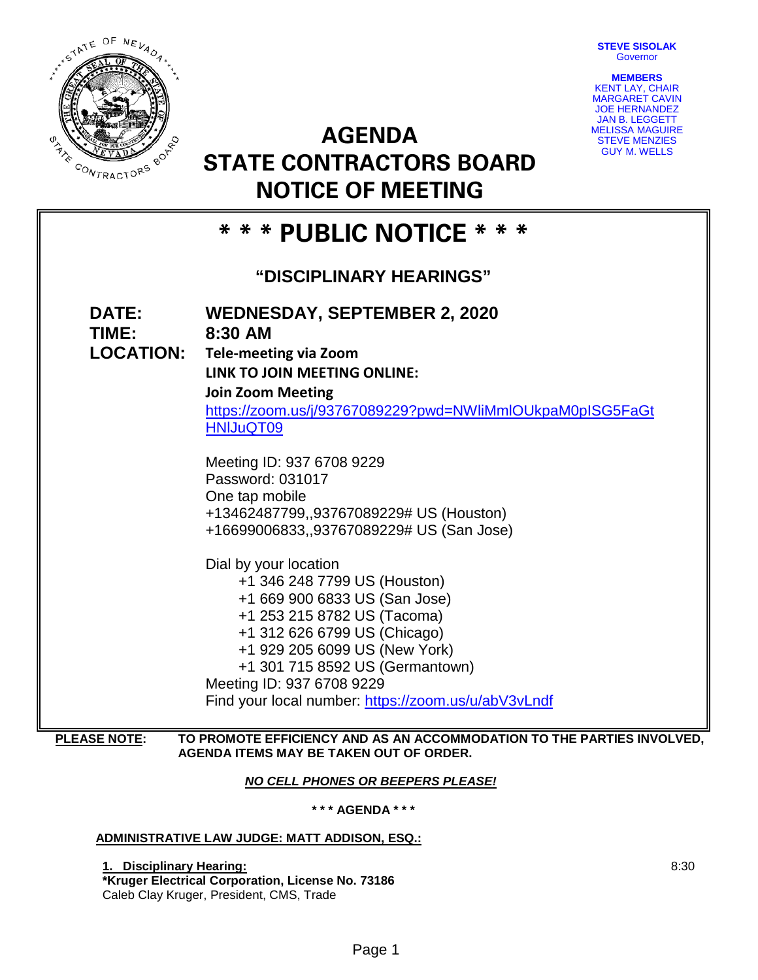**STEVE SISOLAK Governor** 



**AGENDA STATE CONTRACTORS BOARD NOTICE OF MEETING**



# **\* \* \* PUBLIC NOTICE \* \* \* "DISCIPLINARY HEARINGS" DATE: WEDNESDAY, SEPTEMBER 2, 2020 TIME: 8:30 AM LOCATION: Tele-meeting via Zoom LINK TO JOIN MEETING ONLINE: Join Zoom Meeting** [https://zoom.us/j/93767089229?pwd=NWliMmlOUkpaM0pISG5FaGt](https://zoom.us/j/93767089229?pwd=NWliMmlOUkpaM0pISG5FaGtHNlJuQT09) [HNlJuQT09](https://zoom.us/j/93767089229?pwd=NWliMmlOUkpaM0pISG5FaGtHNlJuQT09) Meeting ID: 937 6708 9229 Password: 031017 One tap mobile +13462487799,,93767089229# US (Houston) +16699006833,,93767089229# US (San Jose) Dial by your location +1 346 248 7799 US (Houston) +1 669 900 6833 US (San Jose) +1 253 215 8782 US (Tacoma) +1 312 626 6799 US (Chicago) +1 929 205 6099 US (New York) +1 301 715 8592 US (Germantown) Meeting ID: 937 6708 9229 Find your local number:<https://zoom.us/u/abV3vLndf>

# **PLEASE NOTE: TO PROMOTE EFFICIENCY AND AS AN ACCOMMODATION TO THE PARTIES INVOLVED, AGENDA ITEMS MAY BE TAKEN OUT OF ORDER.**

*NO CELL PHONES OR BEEPERS PLEASE!* 

**\* \* \* AGENDA \* \* \***

# **ADMINISTRATIVE LAW JUDGE: MATT ADDISON, ESQ.:**

**1. Disciplinary Hearing: \*Kruger Electrical Corporation, License No. 73186** Caleb Clay Kruger, President, CMS, Trade

8:30